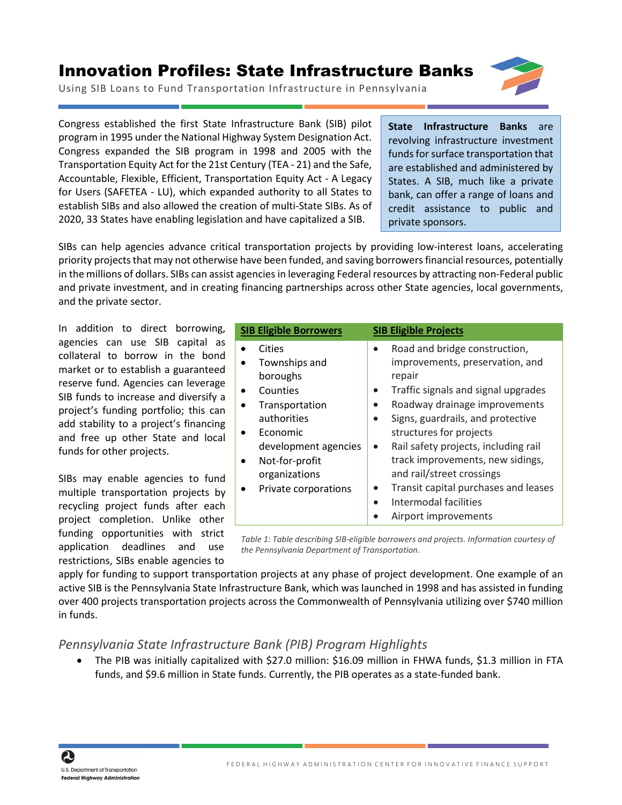## Innovation Profiles: State Infrastructure Banks



Using SIB Loans to Fund Transportation Infrastructure in Pennsylvania

Congress established the first State Infrastructure Bank (SIB) pilot program in 1995 under the National Highway System Designation Act. Congress expanded the SIB program in 1998 and 2005 with the Transportation Equity Act for the 21st Century (TEA - 21) and the Safe, Accountable, Flexible, Efficient, Transportation Equity Act - A Legacy for Users (SAFETEA - LU), which expanded authority to all States to establish SIBs and also allowed the creation of multi-State SIBs. As of 2020, 33 States have enabling legislation and have capitalized a SIB.

**State Infrastructure Banks** are revolving infrastructure investment funds for surface transportation that are established and administered by States. A SIB, much like a private bank, can offer a range of loans and credit assistance to public and private sponsors.

SIBs can help agencies advance critical transportation projects by providing low-interest loans, accelerating priority projects that may not otherwise have been funded, and saving borrowers financial resources, potentially in the millions of dollars. SIBs can assist agencies in leveraging Federal resources by attracting non-Federal public and private investment, and in creating financing partnerships across other State agencies, local governments, and the private sector.

In addition to direct borrowing, agencies can use SIB capital as collateral to borrow in the bond market or to establish a guaranteed reserve fund. Agencies can leverage SIB funds to increase and diversify a project's funding portfolio; this can add stability to a project's financing and free up other State and local funds for other projects.

SIBs may enable agencies to fund multiple transportation projects by recycling project funds after each project completion. Unlike other funding opportunities with strict application deadlines and use restrictions, SIBs enable agencies to

| <b>SIB Eligible Borrowers</b> |                                                                                                                                                                                 | <b>SIB Eligible Projects</b> |                                                                                                                                                                                                                                                                                                                                                                     |
|-------------------------------|---------------------------------------------------------------------------------------------------------------------------------------------------------------------------------|------------------------------|---------------------------------------------------------------------------------------------------------------------------------------------------------------------------------------------------------------------------------------------------------------------------------------------------------------------------------------------------------------------|
|                               | Cities<br>Townships and<br>boroughs<br>Counties<br>Transportation<br>authorities<br>Economic<br>development agencies<br>Not-for-profit<br>organizations<br>Private corporations | $\bullet$                    | Road and bridge construction,<br>improvements, preservation, and<br>repair<br>Traffic signals and signal upgrades<br>Roadway drainage improvements<br>Signs, guardrails, and protective<br>structures for projects<br>Rail safety projects, including rail<br>track improvements, new sidings,<br>and rail/street crossings<br>Transit capital purchases and leases |
|                               |                                                                                                                                                                                 |                              | Intermodal facilities<br>Airport improvements                                                                                                                                                                                                                                                                                                                       |

*Table 1: Table describing SIB-eligible borrowers and projects. Information courtesy of the Pennsylvania Department of Transportation.* 

apply for funding to support transportation projects at any phase of project development. One example of an active SIB is the Pennsylvania State Infrastructure Bank, which was launched in 1998 and has assisted in funding over 400 projects transportation projects across the Commonwealth of Pennsylvania utilizing over \$740 million in funds.

## *Pennsylvania State Infrastructure Bank (PIB) Program Highlights*

• The PIB was initially capitalized with \$27.0 million: \$16.09 million in FHWA funds, \$1.3 million in FTA funds, and \$9.6 million in State funds. Currently, the PIB operates as a state-funded bank.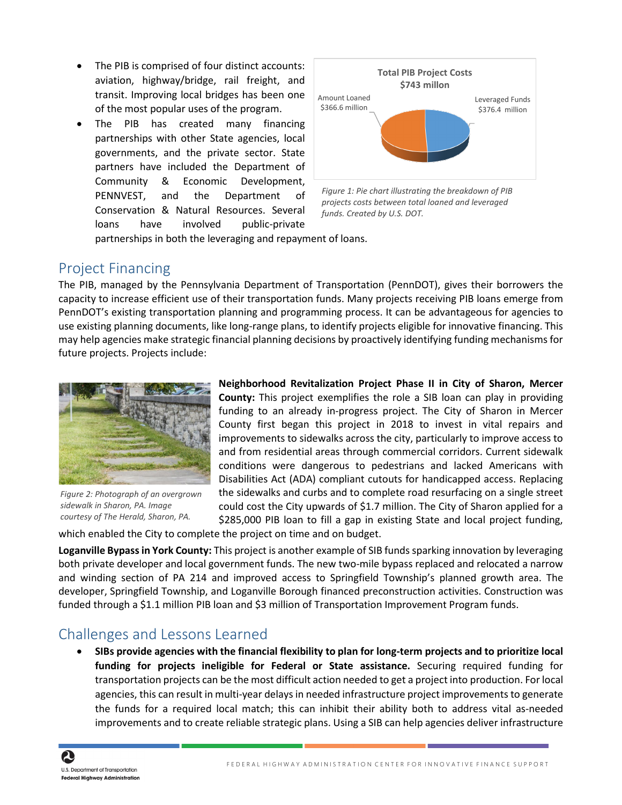- The PIB is comprised of four distinct accounts: aviation, highway/bridge, rail freight, and transit. Improving local bridges has been one of the most popular uses of the program.
- The PIB has created many financing partnerships with other State agencies, local governments, and the private sector. State partners have included the Department of Community & Economic Development, PENNVEST, and the Department of Conservation & Natural Resources. Several loans have involved public-private



*Figure 1: Pie chart illustrating the breakdown of PIB projects costs between total loaned and leveraged funds. Created by U.S. DOT.* 

partnerships in both the leveraging and repayment of loans.

## Project Financing

The PIB, managed by the Pennsylvania Department of Transportation (PennDOT), gives their borrowers the capacity to increase efficient use of their transportation funds. Many projects receiving PIB loans emerge from PennDOT's existing transportation planning and programming process. It can be advantageous for agencies to use existing planning documents, like long-range plans, to identify projects eligible for innovative financing. This may help agencies make strategic financial planning decisions by proactively identifying funding mechanisms for future projects. Projects include:



*Figure 2: Photograph of an overgrown sidewalk in Sharon, PA. Image courtesy of The Herald, Sharon, PA.* 

**Neighborhood Revitalization Project Phase II in City of Sharon, Mercer County:** This project exemplifies the role a SIB loan can play in providing funding to an already in-progress project. The City of Sharon in Mercer County first began this project in 2018 to invest in vital repairs and improvements to sidewalks across the city, particularly to improve access to and from residential areas through commercial corridors. Current sidewalk conditions were dangerous to pedestrians and lacked Americans with Disabilities Act (ADA) compliant cutouts for handicapped access. Replacing the sidewalks and curbs and to complete road resurfacing on a single street could cost the City upwards of \$1.7 million. The City of Sharon applied for a \$285,000 PIB loan to fill a gap in existing State and local project funding,

which enabled the City to complete the project on time and on budget.

**Loganville Bypass in York County:** This project is another example of SIB funds sparking innovation by leveraging both private developer and local government funds. The new two-mile bypass replaced and relocated a narrow and winding section of PA 214 and improved access to Springfield Township's planned growth area. The developer, Springfield Township, and Loganville Borough financed preconstruction activities. Construction was funded through a \$1.1 million PIB loan and \$3 million of Transportation Improvement Program funds.

## Challenges and Lessons Learned

• **SIBs provide agencies with the financial flexibility to plan for long-term projects and to prioritize local funding for projects ineligible for Federal or State assistance.** Securing required funding for transportation projects can be the most difficult action needed to get a project into production. For local agencies, this can result in multi-year delays in needed infrastructure project improvements to generate the funds for a required local match; this can inhibit their ability both to address vital as-needed improvements and to create reliable strategic plans. Using a SIB can help agencies deliver infrastructure